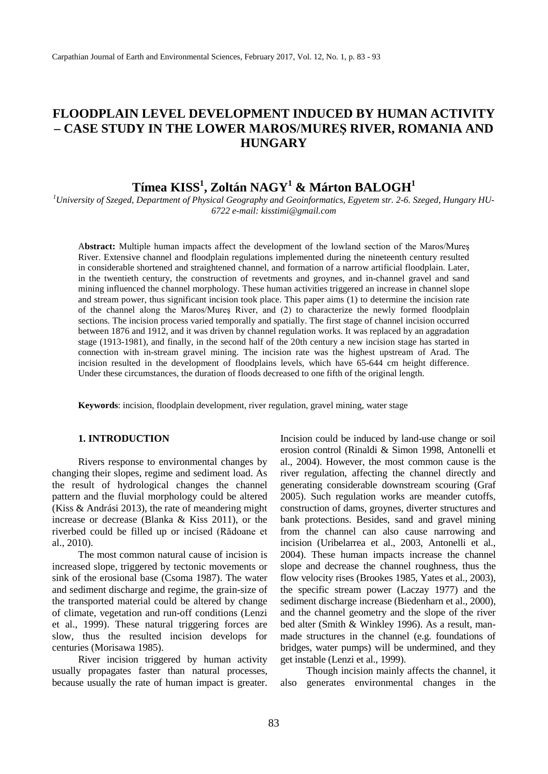## **FLOODPLAIN LEVEL DEVELOPMENT INDUCED BY HUMAN ACTIVITY – CASE STUDY IN THE LOWER MAROS/MUREŞ RIVER, ROMANIA AND HUNGARY**

# $\mathbf{T}$ ímea  $\mathbf{KISS^1}, \mathbf{Zoltán } \mathbf{NAGY^1}$  & Márton  $\mathbf{BALOGH^1}$

*1 University of Szeged, Department of Physical Geography and Geoinformatics, Egyetem str. 2-6. Szeged, Hungary HU-6722 e-mail: kisstimi@gmail.com*

A**bstract:** Multiple human impacts affect the development of the lowland section of the Maros/Mureş River. Extensive channel and floodplain regulations implemented during the nineteenth century resulted in considerable shortened and straightened channel, and formation of a narrow artificial floodplain. Later, in the twentieth century, the construction of revetments and groynes, and in-channel gravel and sand mining influenced the channel morphology. These human activities triggered an increase in channel slope and stream power, thus significant incision took place. This paper aims (1) to determine the incision rate of the channel along the Maros/Mureş River, and (2) to characterize the newly formed floodplain sections. The incision process varied temporally and spatially. The first stage of channel incision occurred between 1876 and 1912, and it was driven by channel regulation works. It was replaced by an aggradation stage (1913-1981), and finally, in the second half of the 20th century a new incision stage has started in connection with in-stream gravel mining. The incision rate was the highest upstream of Arad. The incision resulted in the development of floodplains levels, which have 65-644 cm height difference. Under these circumstances, the duration of floods decreased to one fifth of the original length.

**Keywords**: incision, floodplain development, river regulation, gravel mining, water stage

#### **1. INTRODUCTION**

Rivers response to environmental changes by changing their slopes, regime and sediment load. As the result of hydrological changes the channel pattern and the fluvial morphology could be altered (Kiss & Andrási 2013), the rate of meandering might increase or decrease (Blanka & Kiss 2011), or the riverbed could be filled up or incised (Rădoane et al., 2010).

The most common natural cause of incision is increased slope, triggered by tectonic movements or sink of the erosional base (Csoma 1987). The water and sediment discharge and regime, the grain-size of the transported material could be altered by change of climate, vegetation and run-off conditions (Lenzi et al., 1999). These natural triggering forces are slow, thus the resulted incision develops for centuries (Morisawa 1985).

River incision triggered by human activity usually propagates faster than natural processes, because usually the rate of human impact is greater. Incision could be induced by land-use change or soil erosion control (Rinaldi & Simon 1998, Antonelli et al., 2004). However, the most common cause is the river regulation, affecting the channel directly and generating considerable downstream scouring (Graf 2005). Such regulation works are meander cutoffs, construction of dams, groynes, diverter structures and bank protections. Besides, sand and gravel mining from the channel can also cause narrowing and incision (Uribelarrea et al., 2003, Antonelli et al., 2004). These human impacts increase the channel slope and decrease the channel roughness, thus the flow velocity rises (Brookes 1985, Yates et al., 2003), the specific stream power (Laczay 1977) and the sediment discharge increase (Biedenharn et al., 2000), and the channel geometry and the slope of the river bed alter (Smith & Winkley 1996). As a result, manmade structures in the channel (e.g. foundations of bridges, water pumps) will be undermined, and they get instable (Lenzi et al., 1999).

Though incision mainly affects the channel, it also generates environmental changes in the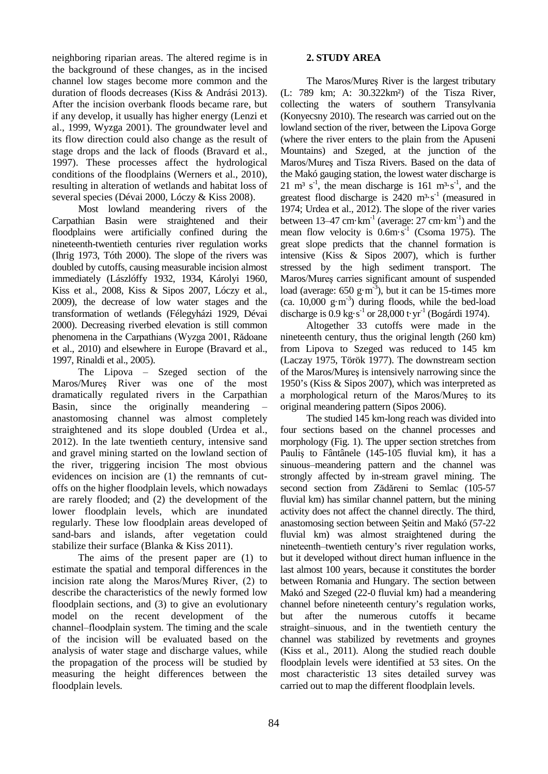neighboring riparian areas. The altered regime is in the background of these changes, as in the incised channel low stages become more common and the duration of floods decreases (Kiss & Andrási 2013). After the incision overbank floods became rare, but if any develop, it usually has higher energy (Lenzi et al., 1999, Wyzga 2001). The groundwater level and its flow direction could also change as the result of stage drops and the lack of floods (Bravard et al., 1997). These processes affect the hydrological conditions of the floodplains (Werners et al., 2010), resulting in alteration of wetlands and habitat loss of several species (Dévai 2000, Lóczy & Kiss 2008).

Most lowland meandering rivers of the Carpathian Basin were straightened and their floodplains were artificially confined during the nineteenth-twentieth centuries river regulation works (Ihrig 1973, Tóth 2000). The slope of the rivers was doubled by cutoffs, causing measurable incision almost immediately (Lászlóffy 1932, 1934, Károlyi 1960, Kiss et al., 2008, Kiss & Sipos 2007, Lóczy et al., 2009), the decrease of low water stages and the transformation of wetlands (Félegyházi 1929, Dévai 2000). Decreasing riverbed elevation is still common phenomena in the Carpathians (Wyzga 2001, Rădoane et al., 2010) and elsewhere in Europe (Bravard et al., 1997, Rinaldi et al., 2005).

The Lipova  $-$  Szeged section of the Maros/Mureş River was one of the most dramatically regulated rivers in the Carpathian Basin, since the originally meandering – anastomosing channel was almost completely straightened and its slope doubled (Urdea et al., 2012). In the late twentieth century, intensive sand and gravel mining started on the lowland section of the river, triggering incision The most obvious evidences on incision are (1) the remnants of cutoffs on the higher floodplain levels, which nowadays are rarely flooded; and (2) the development of the lower floodplain levels, which are inundated regularly. These low floodplain areas developed of sand-bars and islands, after vegetation could stabilize their surface (Blanka & Kiss 2011).

The aims of the present paper are (1) to estimate the spatial and temporal differences in the incision rate along the Maros/Mureş River, (2) to describe the characteristics of the newly formed low floodplain sections, and (3) to give an evolutionary model on the recent development of the channel–floodplain system. The timing and the scale of the incision will be evaluated based on the analysis of water stage and discharge values, while the propagation of the process will be studied by measuring the height differences between the floodplain levels.

## **2. STUDY AREA**

The Maros/Mureş River is the largest tributary (L: 789 km; A: 30.322km²) of the Tisza River, collecting the waters of southern Transylvania (Konyecsny 2010). The research was carried out on the lowland section of the river, between the Lipova Gorge (where the river enters to the plain from the Apuseni Mountains) and Szeged, at the junction of the Maros/Mureş and Tisza Rivers. Based on the data of the Makó gauging station, the lowest water discharge is 21 m<sup>3</sup> s<sup>-1</sup>, the mean discharge is 161 m<sup>3</sup>·s<sup>-1</sup>, and the greatest flood discharge is  $2420 \text{ m}^3 \text{ s}^{-1}$  (measured in 1974; Urdea et al., 2012). The slope of the river varies between  $13-47$  cm $\cdot$  km<sup>-1</sup> (average:  $27$  cm $\cdot$  km<sup>-1</sup>) and the mean flow velocity is  $0.6 \text{m} \cdot \text{s}^{-1}$  (Csoma 1975). The great slope predicts that the channel formation is intensive (Kiss & Sipos 2007), which is further stressed by the high sediment transport. The Maros/Mureş carries significant amount of suspended load (average:  $650 \text{ g} \cdot \text{m}^3$ ), but it can be 15-times more  $(ca. 10,000 g·m<sup>-3</sup>)$  during floods, while the bed-load discharge is  $0.9 \text{ kg} \cdot \text{s}^{-1}$  or  $28,000 \text{ t} \cdot \text{yr}^{-1}$  (Bogárdi 1974).

Altogether 33 cutoffs were made in the nineteenth century, thus the original length (260 km) from Lipova to Szeged was reduced to 145 km (Laczay 1975, Török 1977). The downstream section of the Maros/Mureş is intensively narrowing since the 1950's (Kiss & Sipos 2007), which was interpreted as a morphological return of the Maros/Mureș to its original meandering pattern (Sipos 2006).

The studied 145 km-long reach was divided into four sections based on the channel processes and morphology (Fig. 1). The upper section stretches from Pauliş to Fântânele (145-105 fluvial km), it has a sinuous-meandering pattern and the channel was strongly affected by in-stream gravel mining. The second section from Zădăreni to Semlac (105-57 fluvial km) has similar channel pattern, but the mining activity does not affect the channel directly. The third, anastomosing section between Şeitin and Makó (57-22 fluvial km) was almost straightened during the nineteenth‒twentieth century's river regulation works, but it developed without direct human influence in the last almost 100 years, because it constitutes the border between Romania and Hungary. The section between Makó and Szeged (22-0 fluvial km) had a meandering channel before nineteenth century's regulation works, but after the numerous cutoffs it became straight–sinuous, and in the twentieth century the channel was stabilized by revetments and groynes (Kiss et al., 2011). Along the studied reach double floodplain levels were identified at 53 sites. On the most characteristic 13 sites detailed survey was carried out to map the different floodplain levels.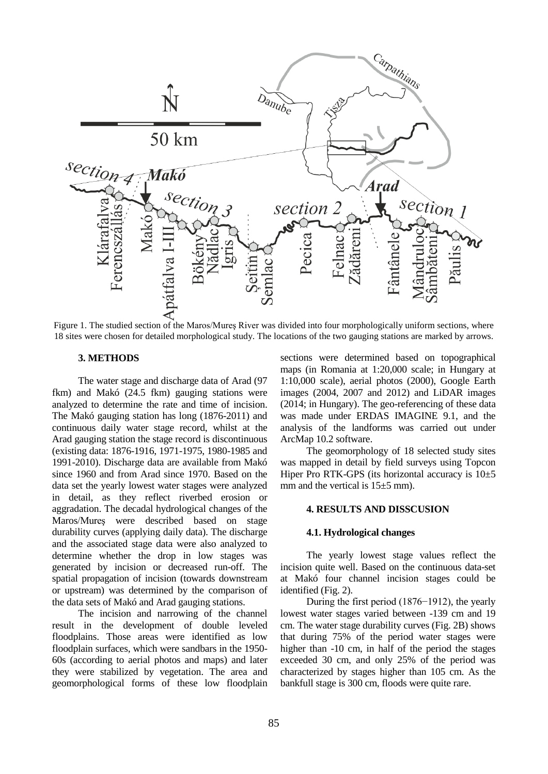

Figure 1. The studied section of the Maros/Mureş River was divided into four morphologically uniform sections, where 18 sites were chosen for detailed morphological study. The locations of the two gauging stations are marked by arrows.

## **3. METHODS**

The water stage and discharge data of Arad (97 fkm) and Makó (24.5 fkm) gauging stations were analyzed to determine the rate and time of incision. The Makó gauging station has long (1876-2011) and continuous daily water stage record, whilst at the Arad gauging station the stage record is discontinuous (existing data: 1876-1916, 1971-1975, 1980-1985 and 1991-2010). Discharge data are available from Makó since 1960 and from Arad since 1970. Based on the data set the yearly lowest water stages were analyzed in detail, as they reflect riverbed erosion or aggradation. The decadal hydrological changes of the Maros/Mureş were described based on stage durability curves (applying daily data). The discharge and the associated stage data were also analyzed to determine whether the drop in low stages was generated by incision or decreased run-off. The spatial propagation of incision (towards downstream or upstream) was determined by the comparison of the data sets of Makó and Arad gauging stations.

The incision and narrowing of the channel result in the development of double leveled floodplains. Those areas were identified as low floodplain surfaces, which were sandbars in the 1950- 60s (according to aerial photos and maps) and later they were stabilized by vegetation. The area and geomorphological forms of these low floodplain

sections were determined based on topographical maps (in Romania at 1:20,000 scale; in Hungary at 1:10,000 scale), aerial photos (2000), Google Earth images (2004, 2007 and 2012) and LiDAR images (2014; in Hungary). The geo-referencing of these data was made under ERDAS IMAGINE 9.1, and the analysis of the landforms was carried out under ArcMap 10.2 software.

The geomorphology of 18 selected study sites was mapped in detail by field surveys using Topcon Hiper Pro RTK-GPS (its horizontal accuracy is  $10\pm5$ mm and the vertical is  $15\pm 5$  mm).

## **4. RESULTS AND DISSCUSION**

#### **4.1. Hydrological changes**

The yearly lowest stage values reflect the incision quite well. Based on the continuous data-set at Makó four channel incision stages could be identified (Fig. 2).

During the first period (1876−1912), the yearly lowest water stages varied between -139 cm and 19 cm. The water stage durability curves (Fig. 2B) shows that during 75% of the period water stages were higher than  $-10$  cm, in half of the period the stages exceeded 30 cm, and only 25% of the period was characterized by stages higher than 105 cm. As the bankfull stage is 300 cm, floods were quite rare.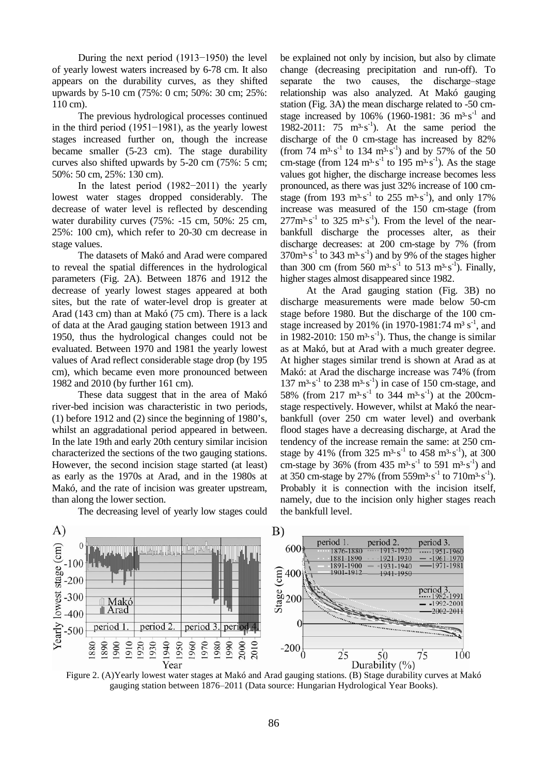During the next period (1913−1950) the level of yearly lowest waters increased by 6-78 cm. It also appears on the durability curves, as they shifted upwards by 5-10 cm (75%: 0 cm; 50%: 30 cm; 25%: 110 cm).

The previous hydrological processes continued in the third period (1951−1981), as the yearly lowest stages increased further on, though the increase became smaller (5-23 cm). The stage durability curves also shifted upwards by 5-20 cm (75%: 5 cm; 50%: 50 cm, 25%: 130 cm).

In the latest period (1982−2011) the yearly lowest water stages dropped considerably. The decrease of water level is reflected by descending water durability curves (75%: -15 cm, 50%: 25 cm, 25%: 100 cm), which refer to 20-30 cm decrease in stage values.

The datasets of Makó and Arad were compared to reveal the spatial differences in the hydrological parameters (Fig. 2A). Between 1876 and 1912 the decrease of yearly lowest stages appeared at both sites, but the rate of water-level drop is greater at Arad (143 cm) than at Makó (75 cm). There is a lack of data at the Arad gauging station between 1913 and 1950, thus the hydrological changes could not be evaluated. Between 1970 and 1981 the yearly lowest values of Arad reflect considerable stage drop (by 195 cm), which became even more pronounced between 1982 and 2010 (by further 161 cm).

These data suggest that in the area of Makó river-bed incision was characteristic in two periods, (1) before 1912 and (2) since the beginning of 1980's, whilst an aggradational period appeared in between. In the late 19th and early 20th century similar incision characterized the sections of the two gauging stations. However, the second incision stage started (at least) as early as the 1970s at Arad, and in the 1980s at Makó, and the rate of incision was greater upstream, than along the lower section.

be explained not only by incision, but also by climate change (decreasing precipitation and run-off). To separate the two causes, the discharge-stage relationship was also analyzed. At Makó gauging station (Fig. 3A) the mean discharge related to -50 cmstage increased by 106% (1960-1981: 36  $m^3 \cdot s^{-1}$  and 1982-2011:  $75 \text{ m}^3 \text{·s}^{-1}$ ). At the same period the discharge of the 0 cm-stage has increased by 82%  $(\text{from } 74 \text{ m}^3 \cdot \text{s}^{-1} \text{ to } 134 \text{ m}^3 \cdot \text{s}^{-1})$  and by 57% of the 50 cm-stage (from  $124 \text{ m}^3 \cdot \text{s}^{-1}$  to  $195 \text{ m}^3 \cdot \text{s}^{-1}$ ). As the stage values got higher, the discharge increase becomes less pronounced, as there was just 32% increase of 100 cmstage (from 193 m<sup>3</sup>·s<sup>-1</sup> to 255 m<sup>3</sup>·s<sup>-1</sup>), and only 17% increase was measured of the 150 cm-stage (from  $277m^3 \cdot s^{-1}$  to 325  $m^3 \cdot s^{-1}$ ). From the level of the nearbankfull discharge the processes alter, as their discharge decreases: at 200 cm-stage by 7% (from  $370m^3 \cdot s^{-1}$  to 343 m<sup>3</sup> $\cdot s^{-1}$ ) and by 9% of the stages higher than 300 cm (from 560  $m^3 \cdot s^{-1}$  to 513  $m^3 \cdot s^{-1}$ ). Finally, higher stages almost disappeared since 1982.

At the Arad gauging station (Fig. 3B) no discharge measurements were made below 50-cm stage before 1980. But the discharge of the 100 cmstage increased by 201% (in 1970-1981:74 m<sup>3</sup> s<sup>-1</sup>, and in 1982-2010: 150  $m<sup>3</sup>·s<sup>-1</sup>$ ). Thus, the change is similar as at Makó, but at Arad with a much greater degree. At higher stages similar trend is shown at Arad as at Makó: at Arad the discharge increase was 74% (from  $137 \text{ m}^3 \cdot \text{s}^{-1}$  to 238 m<sup>3</sup> $\cdot \text{s}^{-1}$ ) in case of 150 cm-stage, and 58% (from 217 m<sup>3</sup>·s<sup>-1</sup> to 344 m<sup>3</sup>·s<sup>-1</sup>) at the 200cmstage respectively. However, whilst at Makó the nearbankfull (over 250 cm water level) and overbank flood stages have a decreasing discharge, at Arad the tendency of the increase remain the same: at 250 cmstage by 41% (from  $325 \text{ m}^3 \text{·s}^{-1}$  to  $458 \text{ m}^3 \text{·s}^{-1}$ ), at  $300$ cm-stage by 36% (from  $435 \text{ m}^3 \text{ s}^{-1}$  to 591 m<sup>3</sup>·s<sup>-1</sup>) and at 350 cm-stage by 27% (from  $559m^3 \cdot s^{-1}$  to  $710m^3 \cdot s^{-1}$ ). Probably it is connection with the incision itself, namely, due to the incision only higher stages reach the bankfull level.



The decreasing level of yearly low stages could

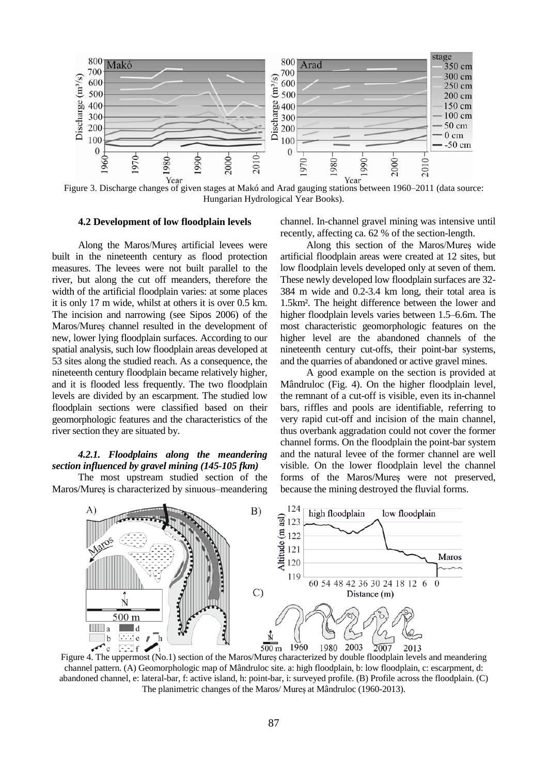

Figure 3. Discharge changes of given stages at Makó and Arad gauging stations between 1960–2011 (data source: Hungarian Hydrological Year Books).

### **4.2 Development of low floodplain levels**

Along the Maros/Mureș artificial levees were built in the nineteenth century as flood protection measures. The levees were not built parallel to the river, but along the cut off meanders, therefore the width of the artificial floodplain varies: at some places it is only 17 m wide, whilst at others it is over 0.5 km. The incision and narrowing (see Sipos 2006) of the Maros/Mureș channel resulted in the development of new, lower lying floodplain surfaces. According to our spatial analysis, such low floodplain areas developed at 53 sites along the studied reach. As a consequence, the nineteenth century floodplain became relatively higher, and it is flooded less frequently. The two floodplain levels are divided by an escarpment. The studied low floodplain sections were classified based on their geomorphologic features and the characteristics of the river section they are situated by.

## *4.2.1. Floodplains along the meandering section influenced by gravel mining (145-105 fkm)*

The most upstream studied section of the Maros/Mureș is characterized by sinuous–meandering channel. In-channel gravel mining was intensive until recently, affecting ca. 62 % of the section-length.

Along this section of the Maros/Mureș wide artificial floodplain areas were created at 12 sites, but low floodplain levels developed only at seven of them. These newly developed low floodplain surfaces are 32- 384 m wide and 0.2-3.4 km long, their total area is 1.5km². The height difference between the lower and higher floodplain levels varies between 1.5–6.6m. The most characteristic geomorphologic features on the higher level are the abandoned channels of the nineteenth century cut-offs, their point-bar systems, and the quarries of abandoned or active gravel mines.

A good example on the section is provided at Mândruloc (Fig. 4). On the higher floodplain level, the remnant of a cut-off is visible, even its in-channel bars, riffles and pools are identifiable, referring to very rapid cut-off and incision of the main channel, thus overbank aggradation could not cover the former channel forms. On the floodplain the point-bar system and the natural levee of the former channel are well visible. On the lower floodplain level the channel forms of the Maros/Mureș were not preserved, because the mining destroyed the fluvial forms.



Figure 4. The uppermost (No.1) section of the Maros/Mureș characterized by double floodplain levels and meandering channel pattern. (A) Geomorphologic map of Mândruloc site. a: high floodplain, b: low floodplain, c: escarpment, d: abandoned channel, e: lateral-bar, f: active island, h: point-bar, i: surveyed profile. (B) Profile across the floodplain. (C) The planimetric changes of the Maros/ Mureș at Mândruloc (1960-2013).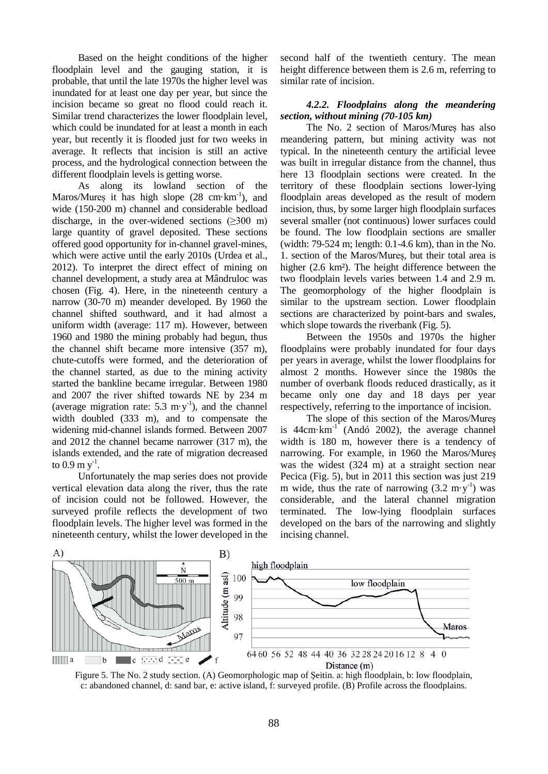Based on the height conditions of the higher floodplain level and the gauging station, it is probable, that until the late 1970s the higher level was inundated for at least one day per year, but since the incision became so great no flood could reach it. Similar trend characterizes the lower floodplain level, which could be inundated for at least a month in each year, but recently it is flooded just for two weeks in average. It reflects that incision is still an active process, and the hydrological connection between the different floodplain levels is getting worse.

As along its lowland section of the Maros/Mureș it has high slope  $(28 \text{ cm} \cdot \text{km}^{-1})$ , and wide (150-200 m) channel and considerable bedload discharge, in the over-widened sections  $(\geq 300 \text{ m})$ large quantity of gravel deposited. These sections offered good opportunity for in-channel gravel-mines, which were active until the early 2010s (Urdea et al., 2012). To interpret the direct effect of mining on channel development, a study area at Mândruloc was chosen (Fig. 4). Here, in the nineteenth century a narrow (30-70 m) meander developed. By 1960 the channel shifted southward, and it had almost a uniform width (average: 117 m). However, between 1960 and 1980 the mining probably had begun, thus the channel shift became more intensive (357 m), chute-cutoffs were formed, and the deterioration of the channel started, as due to the mining activity started the bankline became irregular. Between 1980 and 2007 the river shifted towards NE by 234 m (average migration rate:  $5.3 \text{ m} \cdot \text{y}^{-1}$ ), and the channel width doubled (333 m), and to compensate the widening mid-channel islands formed. Between 2007 and 2012 the channel became narrower (317 m), the islands extended, and the rate of migration decreased to 0.9 m  $y^{-1}$ .

Unfortunately the map series does not provide vertical elevation data along the river, thus the rate of incision could not be followed. However, the surveyed profile reflects the development of two floodplain levels. The higher level was formed in the nineteenth century, whilst the lower developed in the

second half of the twentieth century. The mean height difference between them is 2.6 m, referring to similar rate of incision.

## *4.2.2. Floodplains along the meandering section, without mining (70-105 km)*

The No. 2 section of Maros/Mureș has also meandering pattern, but mining activity was not typical. In the nineteenth century the artificial levee was built in irregular distance from the channel, thus here 13 floodplain sections were created. In the territory of these floodplain sections lower-lying floodplain areas developed as the result of modern incision, thus, by some larger high floodplain surfaces several smaller (not continuous) lower surfaces could be found. The low floodplain sections are smaller (width: 79-524 m; length: 0.1-4.6 km), than in the No. 1. section of the Maros/Mureș, but their total area is higher (2.6 km²). The height difference between the two floodplain levels varies between 1.4 and 2.9 m. The geomorphology of the higher floodplain is similar to the upstream section. Lower floodplain sections are characterized by point-bars and swales, which slope towards the riverbank (Fig. 5).

Between the 1950s and 1970s the higher floodplains were probably inundated for four days per years in average, whilst the lower floodplains for almost 2 months. However since the 1980s the number of overbank floods reduced drastically, as it became only one day and 18 days per year respectively, referring to the importance of incision.

The slope of this section of the Maros/Mures is  $44 \text{cm} \cdot \text{km}^{-1}$  (Andó 2002), the average channel width is 180 m, however there is a tendency of narrowing. For example, in 1960 the Maros/Mureș was the widest (324 m) at a straight section near Pecica (Fig. 5), but in 2011 this section was just 219 m wide, thus the rate of narrowing  $(3.2 \text{ m} \cdot \text{y}^{-1})$  was considerable, and the lateral channel migration terminated. The low-lying floodplain surfaces developed on the bars of the narrowing and slightly incising channel.



Figure 5. The No. 2 study section. (A) Geomorphologic map of Şeitin. a: high floodplain, b: low floodplain, c: abandoned channel, d: sand bar, e: active island, f: surveyed profile. (B) Profile across the floodplains.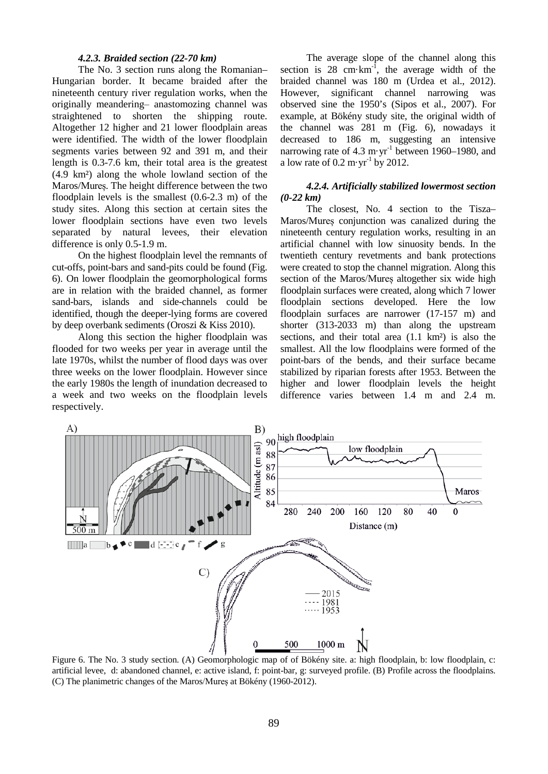#### *4.2.3. Braided section (22-70 km)*

The No. 3 section runs along the Romanian– Hungarian border. It became braided after the nineteenth century river regulation works, when the originally meandering- anastomozing channel was straightened to shorten the shipping route. Altogether 12 higher and 21 lower floodplain areas were identified. The width of the lower floodplain segments varies between 92 and 391 m, and their length is 0.3-7.6 km, their total area is the greatest (4.9 km²) along the whole lowland section of the Maros/Mureș. The height difference between the two floodplain levels is the smallest (0.6-2.3 m) of the study sites. Along this section at certain sites the lower floodplain sections have even two levels separated by natural levees, their elevation difference is only 0.5-1.9 m.

On the highest floodplain level the remnants of cut-offs, point-bars and sand-pits could be found (Fig. 6). On lower floodplain the geomorphological forms are in relation with the braided channel, as former sand-bars, islands and side-channels could be identified, though the deeper-lying forms are covered by deep overbank sediments (Oroszi & Kiss 2010).

Along this section the higher floodplain was flooded for two weeks per year in average until the late 1970s, whilst the number of flood days was over three weeks on the lower floodplain. However since the early 1980s the length of inundation decreased to a week and two weeks on the floodplain levels respectively.

The average slope of the channel along this section is  $28 \text{ cm} \cdot \text{km}^{-1}$ , the average width of the braided channel was 180 m (Urdea et al., 2012). However, significant channel narrowing was observed sine the 1950's (Sipos et al., 2007). For example, at Bökény study site, the original width of the channel was 281 m (Fig. 6), nowadays it decreased to 186 m, suggesting an intensive narrowing rate of 4.3 m $\cdot$ yr<sup>-1</sup> between 1960–1980, and a low rate of  $0.2 \text{ m} \cdot \text{yr}^{-1}$  by 2012.

## *4.2.4. Artificially stabilized lowermost section (0-22 km)*

The closest, No. 4 section to the Tisza– Maros/Mureș conjunction was canalized during the nineteenth century regulation works, resulting in an artificial channel with low sinuosity bends. In the twentieth century revetments and bank protections were created to stop the channel migration. Along this section of the Maros/Mures altogether six wide high floodplain surfaces were created, along which 7 lower floodplain sections developed. Here the low floodplain surfaces are narrower (17-157 m) and shorter (313-2033 m) than along the upstream sections, and their total area (1.1 km²) is also the smallest. All the low floodplains were formed of the point-bars of the bends, and their surface became stabilized by riparian forests after 1953. Between the higher and lower floodplain levels the height difference varies between 1.4 m and 2.4 m.



Figure 6. The No. 3 study section. (A) Geomorphologic map of of Bökény site. a: high floodplain, b: low floodplain, c: artificial levee, d: abandoned channel, e: active island, f: point-bar, g: surveyed profile. (B) Profile across the floodplains. (C) The planimetric changes of the Maros/Mureș at Bökény (1960-2012).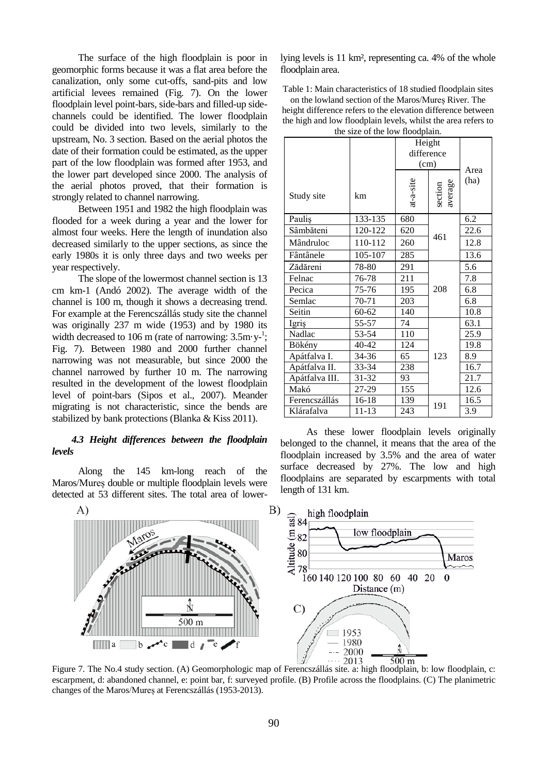The surface of the high floodplain is poor in geomorphic forms because it was a flat area before the canalization, only some cut-offs, sand-pits and low artificial levees remained (Fig. 7). On the lower floodplain level point-bars, side-bars and filled-up sidechannels could be identified. The lower floodplain could be divided into two levels, similarly to the upstream, No. 3 section. Based on the aerial photos the date of their formation could be estimated, as the upper part of the low floodplain was formed after 1953, and the lower part developed since 2000. The analysis of the aerial photos proved, that their formation is strongly related to channel narrowing.

Between 1951 and 1982 the high floodplain was flooded for a week during a year and the lower for almost four weeks. Here the length of inundation also decreased similarly to the upper sections, as since the early 1980s it is only three days and two weeks per year respectively.

The slope of the lowermost channel section is 13 cm km-1 (Andó 2002). The average width of the channel is 100 m, though it shows a decreasing trend. For example at the Ferencszállás study site the channel was originally 237 m wide (1953) and by 1980 its width decreased to 106 m (rate of narrowing:  $3.5 \text{m} \cdot \text{y}^{-1}$ ; Fig. 7). Between 1980 and 2000 further channel narrowing was not measurable, but since 2000 the channel narrowed by further 10 m. The narrowing resulted in the development of the lowest floodplain level of point-bars (Sipos et al., 2007). Meander migrating is not characteristic, since the bends are stabilized by bank protections (Blanka & Kiss 2011).

## *4.3 Height differences between the floodplain levels*

Along the 145 km-long reach of the Maros/Mureș double or multiple floodplain levels were detected at 53 different sites. The total area of lowerlying levels is 11 km², representing ca. 4% of the whole floodplain area.

Table 1: Main characteristics of 18 studied floodplain sites

on the lowland section of the Maros/Mureș River. The height difference refers to the elevation difference between the high and low floodplain levels, whilst the area refers to the size of the low floodplain.

|                |           | Height<br>difference<br>(cm) |                    | Area |
|----------------|-----------|------------------------------|--------------------|------|
| Study site     | km        | $at-a-site$                  | average<br>section | (ha) |
| Paulis         | 133-135   | 680                          | 461                | 6.2  |
| Sâmbăteni      | 120-122   | 620                          |                    | 22.6 |
| Mândruloc      | 110-112   | 260                          |                    | 12.8 |
| Fântânele      | 105-107   | 285                          |                    | 13.6 |
| Zădăreni       | 78-80     | 291                          | 208                | 5.6  |
| Felnac         | 76-78     | 211                          |                    | 7.8  |
| Pecica         | 75-76     | 195                          |                    | 6.8  |
| Semlac         | 70-71     | 203                          |                    | 6.8  |
| Seitin         | $60 - 62$ | 140                          |                    | 10.8 |
| Igriş          | 55-57     | 74                           | 123                | 63.1 |
| Nadlac         | 53-54     | 110                          |                    | 25.9 |
| Bökény         | 40-42     | 124                          |                    | 19.8 |
| Apátfalva I.   | 34-36     | 65                           |                    | 8.9  |
| Apátfalva II.  | 33-34     | 238                          |                    | 16.7 |
| Apátfalva III. | 31-32     | 93                           |                    | 21.7 |
| Makó           | 27-29     | 155                          |                    | 12.6 |
| Ferencszállás  | 16-18     | 139                          | 191                | 16.5 |
| Klárafalva     | $11 - 13$ | 243                          |                    | 3.9  |

As these lower floodplain levels originally belonged to the channel, it means that the area of the floodplain increased by 3.5% and the area of water surface decreased by 27%. The low and high floodplains are separated by escarpments with total length of 131 km.



Figure 7. The No.4 study section. (A) Geomorphologic map of Ferencszállás site. a: high floodplain, b: low floodplain, c: escarpment, d: abandoned channel, e: point bar, f: surveyed profile. (B) Profile across the floodplains. (C) The planimetric changes of the Maros/Mureș at Ferencszállás (1953-2013).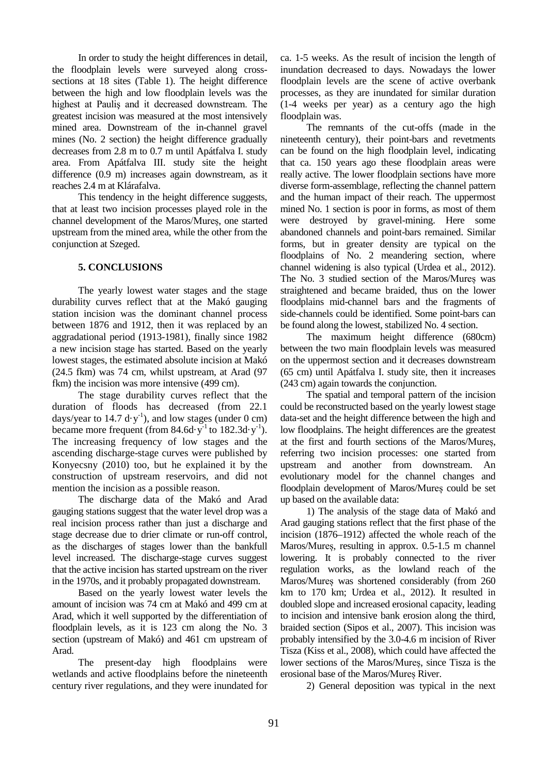In order to study the height differences in detail, the floodplain levels were surveyed along crosssections at 18 sites (Table 1). The height difference between the high and low floodplain levels was the highest at Pauliş and it decreased downstream. The greatest incision was measured at the most intensively mined area. Downstream of the in-channel gravel mines (No. 2 section) the height difference gradually decreases from 2.8 m to 0.7 m until Apátfalva I. study area. From Apátfalva III. study site the height difference (0.9 m) increases again downstream, as it reaches 2.4 m at Klárafalva.

This tendency in the height difference suggests, that at least two incision processes played role in the channel development of the Maros/Mureș, one started upstream from the mined area, while the other from the conjunction at Szeged.

## **5. CONCLUSIONS**

The yearly lowest water stages and the stage durability curves reflect that at the Makó gauging station incision was the dominant channel process between 1876 and 1912, then it was replaced by an aggradational period (1913-1981), finally since 1982 a new incision stage has started. Based on the yearly lowest stages, the estimated absolute incision at Makó (24.5 fkm) was 74 cm, whilst upstream, at Arad (97 fkm) the incision was more intensive (499 cm).

The stage durability curves reflect that the duration of floods has decreased (from 22.1 days/year to 14.7 d $\cdot$ y<sup>-1</sup>), and low stages (under 0 cm) became more frequent (from  $84.6d \cdot y^{-1}$  to  $182.3d \cdot y^{-1}$ ). The increasing frequency of low stages and the ascending discharge-stage curves were published by Konyecsny (2010) too, but he explained it by the construction of upstream reservoirs, and did not mention the incision as a possible reason.

The discharge data of the Makó and Arad gauging stations suggest that the water level drop was a real incision process rather than just a discharge and stage decrease due to drier climate or run-off control, as the discharges of stages lower than the bankfull level increased. The discharge-stage curves suggest that the active incision has started upstream on the river in the 1970s, and it probably propagated downstream.

Based on the yearly lowest water levels the amount of incision was 74 cm at Makó and 499 cm at Arad, which it well supported by the differentiation of floodplain levels, as it is 123 cm along the No. 3 section (upstream of Makó) and 461 cm upstream of Arad.

The present-day high floodplains were wetlands and active floodplains before the nineteenth century river regulations, and they were inundated for ca. 1-5 weeks. As the result of incision the length of inundation decreased to days. Nowadays the lower floodplain levels are the scene of active overbank processes, as they are inundated for similar duration (1-4 weeks per year) as a century ago the high floodplain was.

The remnants of the cut-offs (made in the nineteenth century), their point-bars and revetments can be found on the high floodplain level, indicating that ca. 150 years ago these floodplain areas were really active. The lower floodplain sections have more diverse form-assemblage, reflecting the channel pattern and the human impact of their reach. The uppermost mined No. 1 section is poor in forms, as most of them were destroyed by gravel-mining. Here some abandoned channels and point-bars remained. Similar forms, but in greater density are typical on the floodplains of No. 2 meandering section, where channel widening is also typical (Urdea et al., 2012). The No. 3 studied section of the Maros/Mureș was straightened and became braided, thus on the lower floodplains mid-channel bars and the fragments of side-channels could be identified. Some point-bars can be found along the lowest, stabilized No. 4 section.

The maximum height difference (680cm) between the two main floodplain levels was measured on the uppermost section and it decreases downstream (65 cm) until Apátfalva I. study site, then it increases (243 cm) again towards the conjunction.

The spatial and temporal pattern of the incision could be reconstructed based on the yearly lowest stage data-set and the height difference between the high and low floodplains. The height differences are the greatest at the first and fourth sections of the Maros/Mureș, referring two incision processes: one started from upstream and another from downstream. An evolutionary model for the channel changes and floodplain development of Maros/Mureș could be set up based on the available data:

1) The analysis of the stage data of Makó and Arad gauging stations reflect that the first phase of the incision (1876–1912) affected the whole reach of the Maros/Mureș, resulting in approx. 0.5-1.5 m channel lowering. It is probably connected to the river regulation works, as the lowland reach of the Maros/Mureș was shortened considerably (from 260 km to 170 km; Urdea et al., 2012). It resulted in doubled slope and increased erosional capacity, leading to incision and intensive bank erosion along the third, braided section (Sipos et al., 2007). This incision was probably intensified by the 3.0-4.6 m incision of River Tisza (Kiss et al., 2008), which could have affected the lower sections of the Maros/Mureș, since Tisza is the erosional base of the Maros/Mureș River.

2) General deposition was typical in the next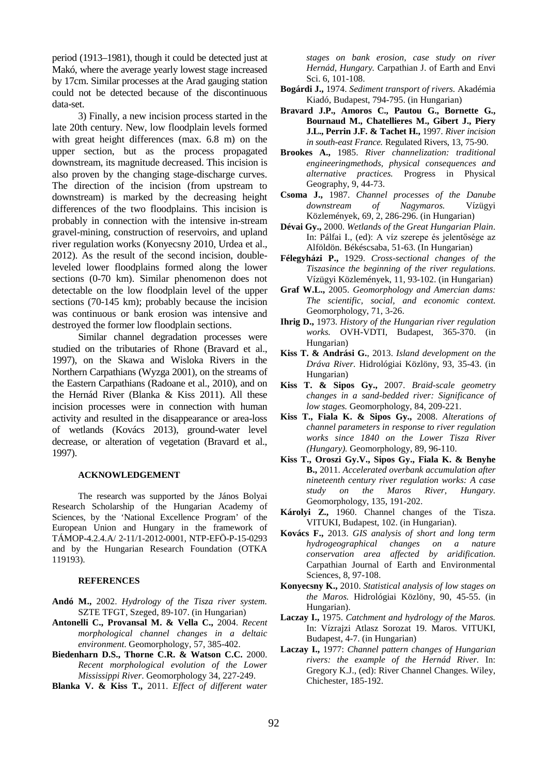period (1913–1981), though it could be detected just at Makó, where the average yearly lowest stage increased by 17cm. Similar processes at the Arad gauging station could not be detected because of the discontinuous data-set.

3) Finally, a new incision process started in the late 20th century. New, low floodplain levels formed with great height differences (max. 6.8 m) on the upper section, but as the process propagated downstream, its magnitude decreased. This incision is also proven by the changing stage-discharge curves. The direction of the incision (from upstream to downstream) is marked by the decreasing height differences of the two floodplains. This incision is probably in connection with the intensive in-stream gravel-mining, construction of reservoirs, and upland river regulation works (Konyecsny 2010, Urdea et al., 2012). As the result of the second incision, doubleleveled lower floodplains formed along the lower sections (0-70 km). Similar phenomenon does not detectable on the low floodplain level of the upper sections (70-145 km); probably because the incision was continuous or bank erosion was intensive and destroyed the former low floodplain sections.

Similar channel degradation processes were studied on the tributaries of Rhone (Bravard et al., 1997), on the Skawa and Wisloka Rivers in the Northern Carpathians (Wyzga 2001), on the streams of the Eastern Carpathians (Radoane et al., 2010), and on the Hernád River (Blanka & Kiss 2011). All these incision processes were in connection with human activity and resulted in the disappearance or area-loss of wetlands (Kovács 2013), ground-water level decrease, or alteration of vegetation (Bravard et al., 1997).

#### **ACKNOWLEDGEMENT**

The research was supported by the János Bolyai Research Scholarship of the Hungarian Academy of Sciences, by the 'National Excellence Program' of the European Union and Hungary in the framework of TÁMOP-4.2.4.A/ 2-11/1-2012-0001, NTP-EFÖ-P-15-0293 and by the Hungarian Research Foundation (OTKA 119193).

#### **REFERENCES**

- **Andó M.,** 2002. *Hydrology of the Tisza river system.* SZTE TFGT, Szeged, 89-107. (in Hungarian)
- **Antonelli C., Provansal M. & Vella C.,** 2004. *Recent morphological channel changes in a deltaic environment*. Geomorphology, 57, 385-402.
- **Biedenharn D.S., Thorne C.R. & Watson C.C.** 2000. *Recent morphological evolution of the Lower Mississippi River*. Geomorphology 34, 227-249.
- **Blanka V. & Kiss T.,** 2011. *Effect of different water*

*stages on bank erosion, case study on river Hernád, Hungary.* Carpathian J. of Earth and Envi Sci. 6, 101-108.

- **Bogárdi J.,** 1974. *Sediment transport of rivers.* Akadémia Kiadó, Budapest, 794-795. (in Hungarian)
- **Bravard J.P., Amoros C., Pautou G., Bornette G., Bournaud M., Chatellieres M., Gibert J., Piery J.L., Perrin J.F. & Tachet H.,** 1997. *River incision in south-east France.* Regulated Rivers, 13, 75-90.
- **Brookes A.,** 1985. *River channelization: traditional engineeringmethods, physical consequences and alternative practices.* Progress in Physical Geography, 9, 44-73.
- **Csoma J.,** 1987. *Channel processes of the Danube*   $downstream$ Közlemények, 69, 2, 286-296. (in Hungarian)
- **Dévai Gy.,** 2000. *Wetlands of the Great Hungarian Plain*. In: Pálfai I., (ed): A víz szerepe és jelentősége az Alföldön. Békéscsaba, 51-63. (In Hungarian)
- **Félegyházi P.,** 1929. *Cross-sectional changes of the Tiszasince the beginning of the river regulations.* Vízügyi Közlemények, 11, 93-102. (in Hungarian)
- **Graf W.L.,** 2005. *Geomorphology and Amercian dams: The scientific, social, and economic context.* Geomorphology, 71, 3-26.
- **Ihrig D.,** 1973. *History of the Hungarian river regulation works.* OVH-VDTI, Budapest, 365-370. (in Hungarian)
- **Kiss T. & Andrási G.**, 2013. *Island development on the Dráva River.* Hidrológiai Közlöny, 93, 35-43. (in Hungarian)
- **Kiss T. & Sipos Gy.,** 2007. *Braid-scale geometry changes in a sand-bedded river: Significance of low stages.* Geomorphology, 84, 209-221.
- **Kiss T., Fiala K. & Sipos Gy.,** 2008. *Alterations of channel parameters in response to river regulation works since 1840 on the Lower Tisza River (Hungary).* Geomorphology, 89, 96-110.
- **Kiss T., Oroszi Gy.V., Sipos Gy., Fiala K. & Benyhe B.,** 2011. *Accelerated overbank accumulation after nineteenth century river regulation works: A case study on the Maros River, Hungary.* Geomorphology, 135, 191-202.
- **Károlyi Z.,** 1960. Channel changes of the Tisza. VITUKI, Budapest, 102. (in Hungarian).
- **Kovács F.,** 2013. *GIS analysis of short and long term hydrogeographical changes on a nature conservation area affected by aridification.*  Carpathian Journal of Earth and Environmental Sciences, 8, 97-108.
- **Konyecsny K.,** 2010. *Statistical analysis of low stages on the Maros.* Hidrológiai Közlöny, 90, 45-55. (in Hungarian).
- **Laczay I.,** 1975. *Catchment and hydrology of the Maros.* In: Vízrajzi Atlasz Sorozat 19. Maros. VITUKI, Budapest, 4-7. (in Hungarian)
- **Laczay I.,** 1977: *Channel pattern changes of Hungarian rivers: the example of the Hernád River.* In: Gregory K.J., (ed): River Channel Changes. Wiley, Chichester, 185-192.